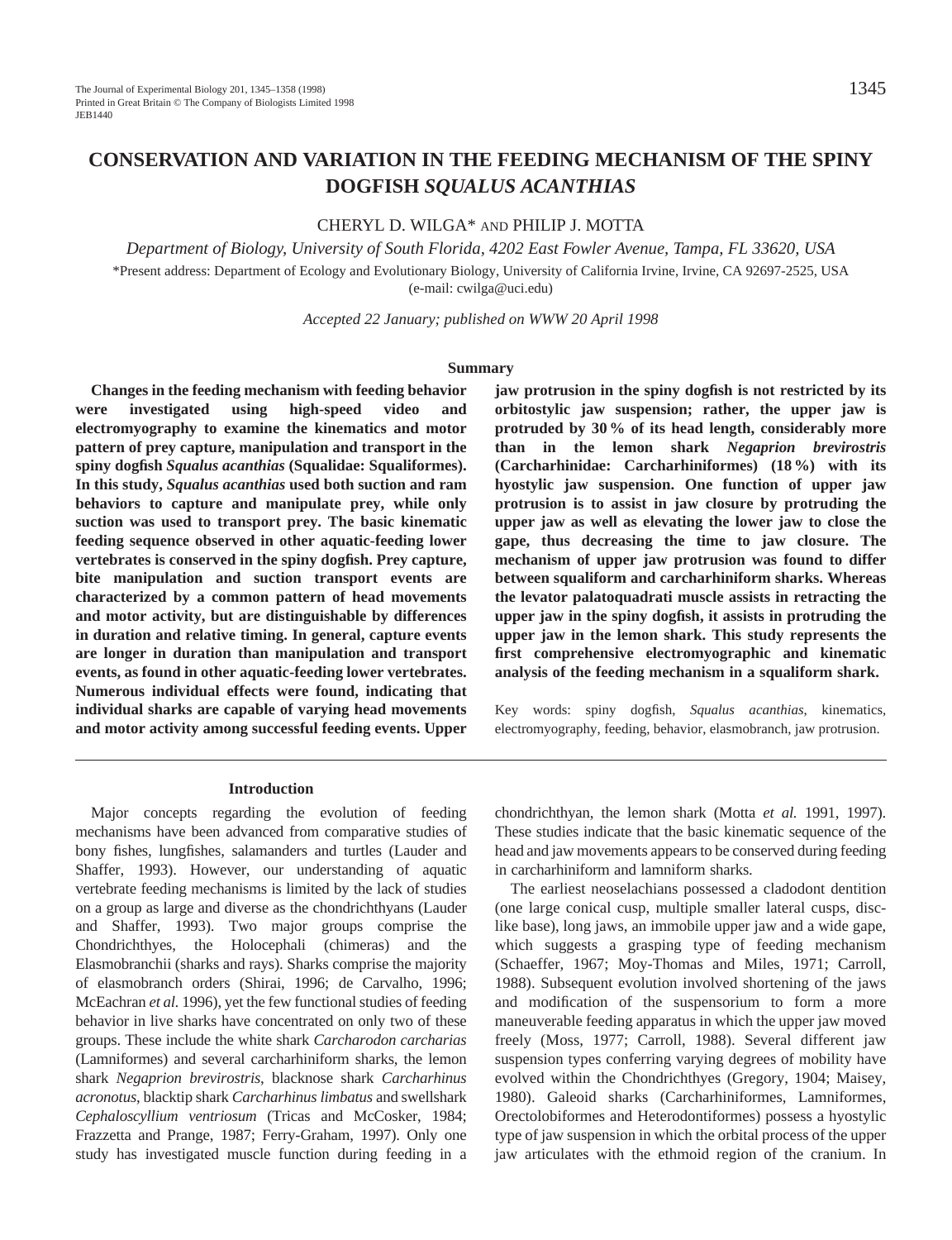# **CONSERVATION AND VARIATION IN THE FEEDING MECHANISM OF THE SPINY DOGFISH** *SQUALUS ACANTHIAS*

# CHERYL D. WILGA\* AND PHILIP J. MOTTA

*Department of Biology, University of South Florida, 4202 East Fowler Avenue, Tampa, FL 33620, USA*

\*Present address: Department of Ecology and Evolutionary Biology, University of California Irvine, Irvine, CA 92697-2525, USA (e-mail: cwilga@uci.edu)

*Accepted 22 January; published on WWW 20 April 1998*

#### **Summary**

**Changes in the feeding mechanism with feeding behavior were investigated using high-speed video and electromyography to examine the kinematics and motor pattern of prey capture, manipulation and transport in the spiny dogfish** *Squalus acanthias* **(Squalidae: Squaliformes). In this study,** *Squalus acanthias* **used both suction and ram behaviors to capture and manipulate prey, while only suction was used to transport prey. The basic kinematic feeding sequence observed in other aquatic-feeding lower vertebrates is conserved in the spiny dogfish. Prey capture, bite manipulation and suction transport events are characterized by a common pattern of head movements and motor activity, but are distinguishable by differences in duration and relative timing. In general, capture events are longer in duration than manipulation and transport events, as found in other aquatic-feeding lower vertebrates. Numerous individual effects were found, indicating that individual sharks are capable of varying head movements and motor activity among successful feeding events. Upper**

**jaw protrusion in the spiny dogfish is not restricted by its orbitostylic jaw suspension; rather, the upper jaw is protruded by 30 % of its head length, considerably more than in the lemon shark** *Negaprion brevirostris* **(Carcharhinidae: Carcharhiniformes) (18 %) with its hyostylic jaw suspension. One function of upper jaw protrusion is to assist in jaw closure by protruding the upper jaw as well as elevating the lower jaw to close the gape, thus decreasing the time to jaw closure. The mechanism of upper jaw protrusion was found to differ between squaliform and carcharhiniform sharks. Whereas the levator palatoquadrati muscle assists in retracting the upper jaw in the spiny dogfish, it assists in protruding the upper jaw in the lemon shark. This study represents the first comprehensive electromyographic and kinematic analysis of the feeding mechanism in a squaliform shark.**

Key words: spiny dogfish, *Squalus acanthias*, kinematics, electromyography, feeding, behavior, elasmobranch, jaw protrusion.

#### **Introduction**

Major concepts regarding the evolution of feeding mechanisms have been advanced from comparative studies of bony fishes, lungfishes, salamanders and turtles (Lauder and Shaffer, 1993). However, our understanding of aquatic vertebrate feeding mechanisms is limited by the lack of studies on a group as large and diverse as the chondrichthyans (Lauder and Shaffer, 1993). Two major groups comprise the Chondrichthyes, the Holocephali (chimeras) and the Elasmobranchii (sharks and rays). Sharks comprise the majority of elasmobranch orders (Shirai, 1996; de Carvalho, 1996; McEachran *et al.* 1996), yet the few functional studies of feeding behavior in live sharks have concentrated on only two of these groups. These include the white shark *Carcharodon carcharias* (Lamniformes) and several carcharhiniform sharks, the lemon shark *Negaprion brevirostris*, blacknose shark *Carcharhinus acronotus*, blacktip shark *Carcharhinus limbatus* and swellshark *Cephaloscyllium ventriosum* (Tricas and McCosker, 1984; Frazzetta and Prange, 1987; Ferry-Graham, 1997). Only one study has investigated muscle function during feeding in a

chondrichthyan, the lemon shark (Motta *et al.* 1991, 1997). These studies indicate that the basic kinematic sequence of the head and jaw movements appears to be conserved during feeding in carcharhiniform and lamniform sharks.

The earliest neoselachians possessed a cladodont dentition (one large conical cusp, multiple smaller lateral cusps, disclike base), long jaws, an immobile upper jaw and a wide gape, which suggests a grasping type of feeding mechanism (Schaeffer, 1967; Moy-Thomas and Miles, 1971; Carroll, 1988). Subsequent evolution involved shortening of the jaws and modification of the suspensorium to form a more maneuverable feeding apparatus in which the upper jaw moved freely (Moss, 1977; Carroll, 1988). Several different jaw suspension types conferring varying degrees of mobility have evolved within the Chondrichthyes (Gregory, 1904; Maisey, 1980). Galeoid sharks (Carcharhiniformes, Lamniformes, Orectolobiformes and Heterodontiformes) possess a hyostylic type of jaw suspension in which the orbital process of the upper jaw articulates with the ethmoid region of the cranium. In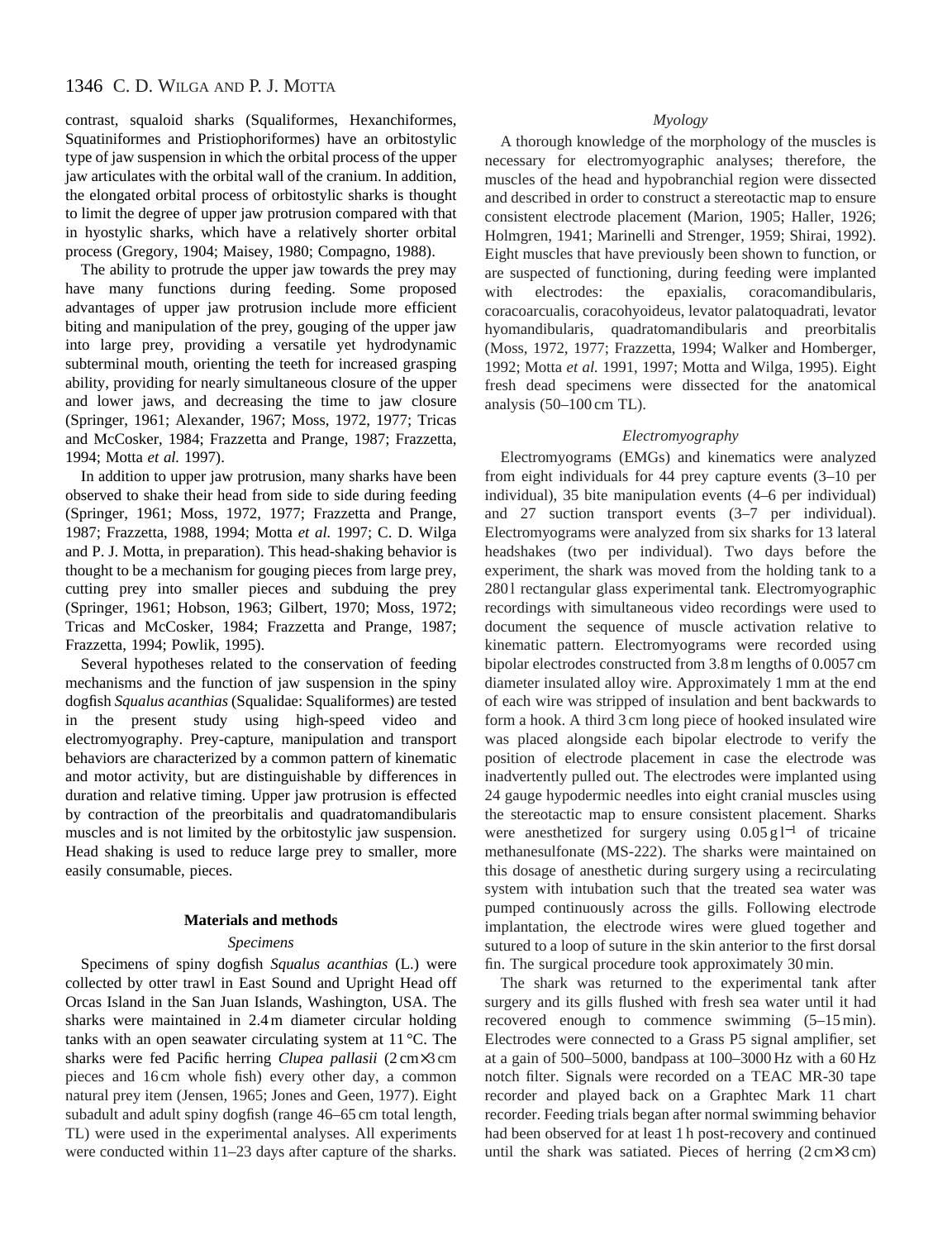contrast, squaloid sharks (Squaliformes, Hexanchiformes, Squatiniformes and Pristiophoriformes) have an orbitostylic type of jaw suspension in which the orbital process of the upper jaw articulates with the orbital wall of the cranium. In addition, the elongated orbital process of orbitostylic sharks is thought to limit the degree of upper jaw protrusion compared with that in hyostylic sharks, which have a relatively shorter orbital process (Gregory, 1904; Maisey, 1980; Compagno, 1988).

The ability to protrude the upper jaw towards the prey may have many functions during feeding. Some proposed advantages of upper jaw protrusion include more efficient biting and manipulation of the prey, gouging of the upper jaw into large prey, providing a versatile yet hydrodynamic subterminal mouth, orienting the teeth for increased grasping ability, providing for nearly simultaneous closure of the upper and lower jaws, and decreasing the time to jaw closure (Springer, 1961; Alexander, 1967; Moss, 1972, 1977; Tricas and McCosker, 1984; Frazzetta and Prange, 1987; Frazzetta, 1994; Motta *et al.* 1997).

In addition to upper jaw protrusion, many sharks have been observed to shake their head from side to side during feeding (Springer, 1961; Moss, 1972, 1977; Frazzetta and Prange, 1987; Frazzetta, 1988, 1994; Motta *et al.* 1997; C. D. Wilga and P. J. Motta, in preparation). This head-shaking behavior is thought to be a mechanism for gouging pieces from large prey, cutting prey into smaller pieces and subduing the prey (Springer, 1961; Hobson, 1963; Gilbert, 1970; Moss, 1972; Tricas and McCosker, 1984; Frazzetta and Prange, 1987; Frazzetta, 1994; Powlik, 1995).

Several hypotheses related to the conservation of feeding mechanisms and the function of jaw suspension in the spiny dogfish *Squalus acanthias* (Squalidae: Squaliformes) are tested in the present study using high-speed video and electromyography. Prey-capture, manipulation and transport behaviors are characterized by a common pattern of kinematic and motor activity, but are distinguishable by differences in duration and relative timing. Upper jaw protrusion is effected by contraction of the preorbitalis and quadratomandibularis muscles and is not limited by the orbitostylic jaw suspension. Head shaking is used to reduce large prey to smaller, more easily consumable, pieces.

### **Materials and methods**

#### *Specimens*

Specimens of spiny dogfish *Squalus acanthias* (L.) were collected by otter trawl in East Sound and Upright Head off Orcas Island in the San Juan Islands, Washington, USA. The sharks were maintained in 2.4 m diameter circular holding tanks with an open seawater circulating system at 11 °C. The sharks were fed Pacific herring *Clupea pallasii* (2 cm×3 cm pieces and 16 cm whole fish) every other day, a common natural prey item (Jensen, 1965; Jones and Geen, 1977). Eight subadult and adult spiny dogfish (range 46–65 cm total length, TL) were used in the experimental analyses. All experiments were conducted within 11–23 days after capture of the sharks.

# *Myology*

A thorough knowledge of the morphology of the muscles is necessary for electromyographic analyses; therefore, the muscles of the head and hypobranchial region were dissected and described in order to construct a stereotactic map to ensure consistent electrode placement (Marion, 1905; Haller, 1926; Holmgren, 1941; Marinelli and Strenger, 1959; Shirai, 1992). Eight muscles that have previously been shown to function, or are suspected of functioning, during feeding were implanted with electrodes: the epaxialis, coracomandibularis, coracoarcualis, coracohyoideus, levator palatoquadrati, levator hyomandibularis, quadratomandibularis and preorbitalis (Moss, 1972, 1977; Frazzetta, 1994; Walker and Homberger, 1992; Motta *et al.* 1991, 1997; Motta and Wilga, 1995). Eight fresh dead specimens were dissected for the anatomical analysis (50–100 cm TL).

### *Electromyography*

Electromyograms (EMGs) and kinematics were analyzed from eight individuals for 44 prey capture events (3–10 per individual), 35 bite manipulation events (4–6 per individual) and 27 suction transport events (3–7 per individual). Electromyograms were analyzed from six sharks for 13 lateral headshakes (two per individual). Two days before the experiment, the shark was moved from the holding tank to a 2801 rectangular glass experimental tank. Electromyographic recordings with simultaneous video recordings were used to document the sequence of muscle activation relative to kinematic pattern. Electromyograms were recorded using bipolar electrodes constructed from 3.8 m lengths of 0.0057 cm diameter insulated alloy wire. Approximately 1 mm at the end of each wire was stripped of insulation and bent backwards to form a hook. A third 3 cm long piece of hooked insulated wire was placed alongside each bipolar electrode to verify the position of electrode placement in case the electrode was inadvertently pulled out. The electrodes were implanted using 24 gauge hypodermic needles into eight cranial muscles using the stereotactic map to ensure consistent placement. Sharks were anesthetized for surgery using  $0.05 \text{ g}$ l<sup>-1</sup> of tricaine methanesulfonate (MS-222). The sharks were maintained on this dosage of anesthetic during surgery using a recirculating system with intubation such that the treated sea water was pumped continuously across the gills. Following electrode implantation, the electrode wires were glued together and sutured to a loop of suture in the skin anterior to the first dorsal fin. The surgical procedure took approximately 30 min.

The shark was returned to the experimental tank after surgery and its gills flushed with fresh sea water until it had recovered enough to commence swimming (5–15 min). Electrodes were connected to a Grass P5 signal amplifier, set at a gain of 500–5000, bandpass at 100–3000 Hz with a 60 Hz notch filter. Signals were recorded on a TEAC MR-30 tape recorder and played back on a Graphtec Mark 11 chart recorder. Feeding trials began after normal swimming behavior had been observed for at least 1 h post-recovery and continued until the shark was satiated. Pieces of herring (2 cm×3 cm)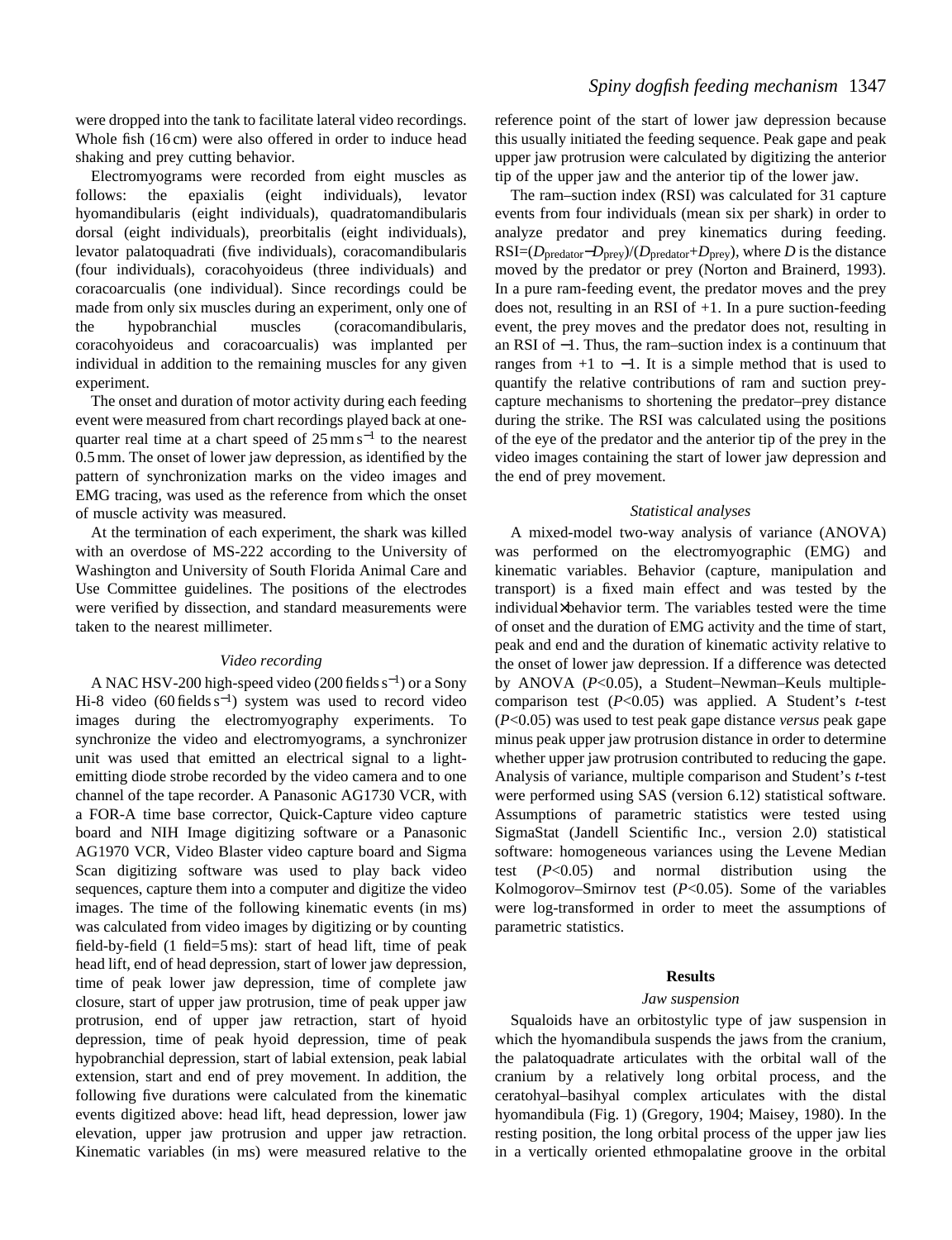were dropped into the tank to facilitate lateral video recordings. Whole fish (16 cm) were also offered in order to induce head shaking and prey cutting behavior.

Electromyograms were recorded from eight muscles as follows: the epaxialis (eight individuals), levator hyomandibularis (eight individuals), quadratomandibularis dorsal (eight individuals), preorbitalis (eight individuals), levator palatoquadrati (five individuals), coracomandibularis (four individuals), coracohyoideus (three individuals) and coracoarcualis (one individual). Since recordings could be made from only six muscles during an experiment, only one of the hypobranchial muscles (coracomandibularis, coracohyoideus and coracoarcualis) was implanted per individual in addition to the remaining muscles for any given experiment.

The onset and duration of motor activity during each feeding event were measured from chart recordings played back at onequarter real time at a chart speed of  $25 \text{ mm s}^{-1}$  to the nearest 0.5 mm. The onset of lower jaw depression, as identified by the pattern of synchronization marks on the video images and EMG tracing, was used as the reference from which the onset of muscle activity was measured.

At the termination of each experiment, the shark was killed with an overdose of MS-222 according to the University of Washington and University of South Florida Animal Care and Use Committee guidelines. The positions of the electrodes were verified by dissection, and standard measurements were taken to the nearest millimeter.

## *Video recording*

A NAC HSV-200 high-speed video (200 fields s<sup>−</sup>1) or a Sony Hi-8 video (60 fields s<sup>-1</sup>) system was used to record video images during the electromyography experiments. To synchronize the video and electromyograms, a synchronizer unit was used that emitted an electrical signal to a lightemitting diode strobe recorded by the video camera and to one channel of the tape recorder. A Panasonic AG1730 VCR, with a FOR-A time base corrector, Quick-Capture video capture board and NIH Image digitizing software or a Panasonic AG1970 VCR, Video Blaster video capture board and Sigma Scan digitizing software was used to play back video sequences, capture them into a computer and digitize the video images. The time of the following kinematic events (in ms) was calculated from video images by digitizing or by counting field-by-field (1 field=5 ms): start of head lift, time of peak head lift, end of head depression, start of lower jaw depression, time of peak lower jaw depression, time of complete jaw closure, start of upper jaw protrusion, time of peak upper jaw protrusion, end of upper jaw retraction, start of hyoid depression, time of peak hyoid depression, time of peak hypobranchial depression, start of labial extension, peak labial extension, start and end of prey movement. In addition, the following five durations were calculated from the kinematic events digitized above: head lift, head depression, lower jaw elevation, upper jaw protrusion and upper jaw retraction. Kinematic variables (in ms) were measured relative to the reference point of the start of lower jaw depression because this usually initiated the feeding sequence. Peak gape and peak upper jaw protrusion were calculated by digitizing the anterior tip of the upper jaw and the anterior tip of the lower jaw.

The ram–suction index (RSI) was calculated for 31 capture events from four individuals (mean six per shark) in order to analyze predator and prey kinematics during feeding.  $RSI=(D_{\text{predator}}-D_{\text{prey}})/(D_{\text{predator}}+D_{\text{prey}})$ , where *D* is the distance moved by the predator or prey (Norton and Brainerd, 1993). In a pure ram-feeding event, the predator moves and the prey does not, resulting in an RSI of +1. In a pure suction-feeding event, the prey moves and the predator does not, resulting in an RSI of −1. Thus, the ram–suction index is a continuum that ranges from  $+1$  to  $-1$ . It is a simple method that is used to quantify the relative contributions of ram and suction preycapture mechanisms to shortening the predator–prey distance during the strike. The RSI was calculated using the positions of the eye of the predator and the anterior tip of the prey in the video images containing the start of lower jaw depression and the end of prey movement.

#### *Statistical analyses*

A mixed-model two-way analysis of variance (ANOVA) was performed on the electromyographic (EMG) and kinematic variables. Behavior (capture, manipulation and transport) is a fixed main effect and was tested by the individual×behavior term. The variables tested were the time of onset and the duration of EMG activity and the time of start, peak and end and the duration of kinematic activity relative to the onset of lower jaw depression. If a difference was detected by ANOVA (*P*<0.05), a Student–Newman–Keuls multiplecomparison test (*P*<0.05) was applied. A Student's *t*-test (*P*<0.05) was used to test peak gape distance *versus* peak gape minus peak upper jaw protrusion distance in order to determine whether upper jaw protrusion contributed to reducing the gape. Analysis of variance, multiple comparison and Student's *t*-test were performed using SAS (version 6.12) statistical software. Assumptions of parametric statistics were tested using SigmaStat (Jandell Scientific Inc., version 2.0) statistical software: homogeneous variances using the Levene Median test (*P*<0.05) and normal distribution using the Kolmogorov–Smirnov test (*P*<0.05). Some of the variables were log-transformed in order to meet the assumptions of parametric statistics.

### **Results**

#### *Jaw suspension*

Squaloids have an orbitostylic type of jaw suspension in which the hyomandibula suspends the jaws from the cranium, the palatoquadrate articulates with the orbital wall of the cranium by a relatively long orbital process, and the ceratohyal–basihyal complex articulates with the distal hyomandibula (Fig. 1) (Gregory, 1904; Maisey, 1980). In the resting position, the long orbital process of the upper jaw lies in a vertically oriented ethmopalatine groove in the orbital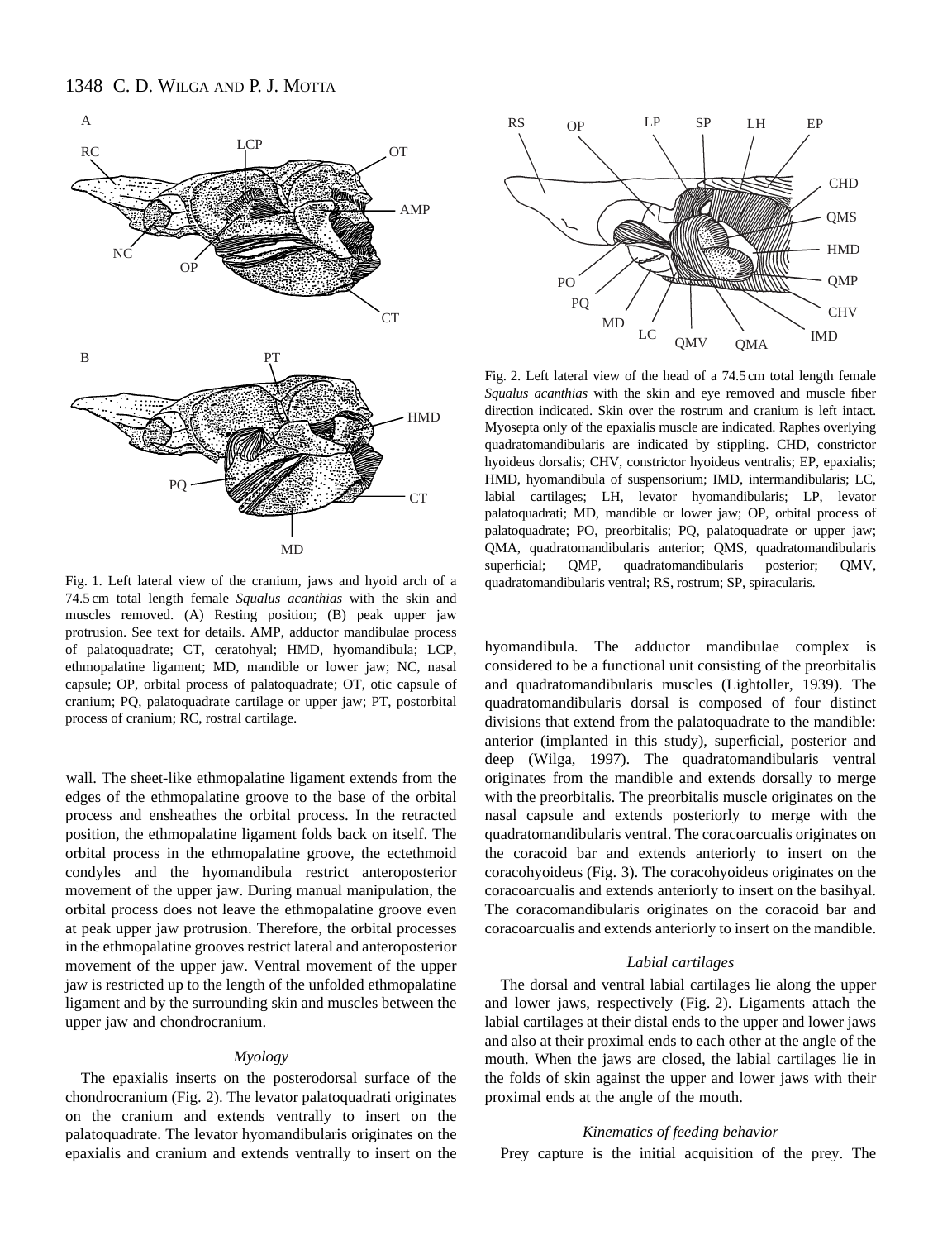

Fig. 1. Left lateral view of the cranium, jaws and hyoid arch of a 74.5 cm total length female *Squalus acanthias* with the skin and muscles removed. (A) Resting position; (B) peak upper jaw protrusion. See text for details. AMP, adductor mandibulae process of palatoquadrate; CT, ceratohyal; HMD, hyomandibula; LCP, ethmopalatine ligament; MD, mandible or lower jaw; NC, nasal capsule; OP, orbital process of palatoquadrate; OT, otic capsule of cranium; PQ, palatoquadrate cartilage or upper jaw; PT, postorbital process of cranium; RC, rostral cartilage.

wall. The sheet-like ethmopalatine ligament extends from the edges of the ethmopalatine groove to the base of the orbital process and ensheathes the orbital process. In the retracted position, the ethmopalatine ligament folds back on itself. The orbital process in the ethmopalatine groove, the ectethmoid condyles and the hyomandibula restrict anteroposterior movement of the upper jaw. During manual manipulation, the orbital process does not leave the ethmopalatine groove even at peak upper jaw protrusion. Therefore, the orbital processes in the ethmopalatine grooves restrict lateral and anteroposterior movement of the upper jaw. Ventral movement of the upper jaw is restricted up to the length of the unfolded ethmopalatine ligament and by the surrounding skin and muscles between the upper jaw and chondrocranium.

#### *Myology*

The epaxialis inserts on the posterodorsal surface of the chondrocranium (Fig. 2). The levator palatoquadrati originates on the cranium and extends ventrally to insert on the palatoquadrate. The levator hyomandibularis originates on the epaxialis and cranium and extends ventrally to insert on the



Fig. 2. Left lateral view of the head of a 74.5 cm total length female *Squalus acanthias* with the skin and eye removed and muscle fiber direction indicated. Skin over the rostrum and cranium is left intact. Myosepta only of the epaxialis muscle are indicated. Raphes overlying quadratomandibularis are indicated by stippling. CHD, constrictor hyoideus dorsalis; CHV, constrictor hyoideus ventralis; EP, epaxialis; HMD, hyomandibula of suspensorium; IMD, intermandibularis; LC, labial cartilages; LH, levator hyomandibularis; LP, levator palatoquadrati; MD, mandible or lower jaw; OP, orbital process of palatoquadrate; PO, preorbitalis; PQ, palatoquadrate or upper jaw; QMA, quadratomandibularis anterior; QMS, quadratomandibularis superficial; QMP, quadratomandibularis posterior; QMV, quadratomandibularis ventral; RS, rostrum; SP, spiracularis.

hyomandibula. The adductor mandibulae complex is considered to be a functional unit consisting of the preorbitalis and quadratomandibularis muscles (Lightoller, 1939). The quadratomandibularis dorsal is composed of four distinct divisions that extend from the palatoquadrate to the mandible: anterior (implanted in this study), superficial, posterior and deep (Wilga, 1997). The quadratomandibularis ventral originates from the mandible and extends dorsally to merge with the preorbitalis. The preorbitalis muscle originates on the nasal capsule and extends posteriorly to merge with the quadratomandibularis ventral. The coracoarcualis originates on the coracoid bar and extends anteriorly to insert on the coracohyoideus (Fig. 3). The coracohyoideus originates on the coracoarcualis and extends anteriorly to insert on the basihyal. The coracomandibularis originates on the coracoid bar and coracoarcualis and extends anteriorly to insert on the mandible.

# *Labial cartilages*

The dorsal and ventral labial cartilages lie along the upper and lower jaws, respectively (Fig. 2). Ligaments attach the labial cartilages at their distal ends to the upper and lower jaws and also at their proximal ends to each other at the angle of the mouth. When the jaws are closed, the labial cartilages lie in the folds of skin against the upper and lower jaws with their proximal ends at the angle of the mouth.

## *Kinematics of feeding behavior*

Prey capture is the initial acquisition of the prey. The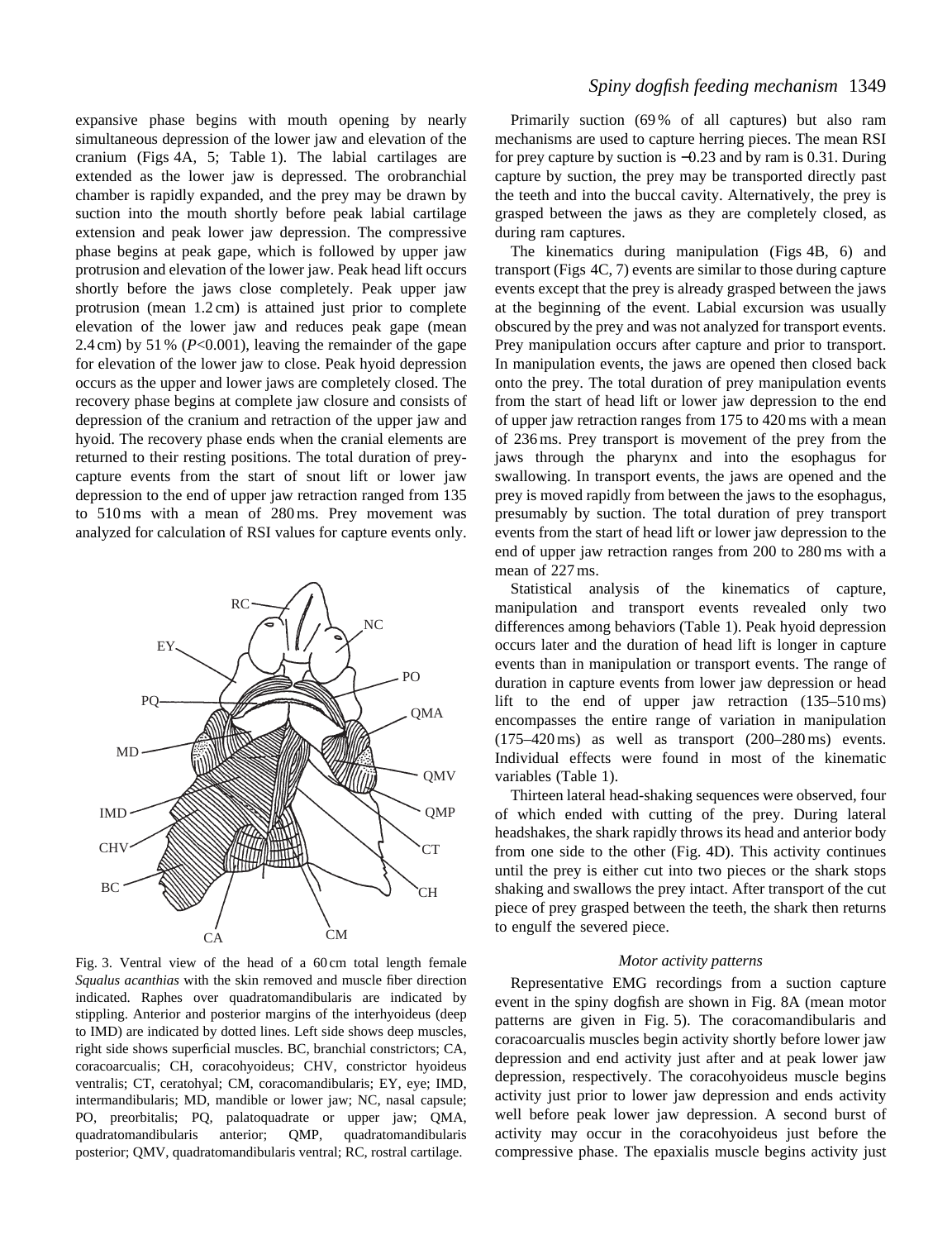expansive phase begins with mouth opening by nearly simultaneous depression of the lower jaw and elevation of the cranium (Figs 4A, 5; Table 1). The labial cartilages are extended as the lower jaw is depressed. The orobranchial chamber is rapidly expanded, and the prey may be drawn by suction into the mouth shortly before peak labial cartilage extension and peak lower jaw depression. The compressive phase begins at peak gape, which is followed by upper jaw protrusion and elevation of the lower jaw. Peak head lift occurs shortly before the jaws close completely. Peak upper jaw protrusion (mean 1.2 cm) is attained just prior to complete elevation of the lower jaw and reduces peak gape (mean 2.4 cm) by 51 % (*P*<0.001), leaving the remainder of the gape for elevation of the lower jaw to close. Peak hyoid depression occurs as the upper and lower jaws are completely closed. The recovery phase begins at complete jaw closure and consists of depression of the cranium and retraction of the upper jaw and hyoid. The recovery phase ends when the cranial elements are returned to their resting positions. The total duration of preycapture events from the start of snout lift or lower jaw depression to the end of upper jaw retraction ranged from 135 to 510 ms with a mean of 280 ms. Prey movement was analyzed for calculation of RSI values for capture events only.



Fig. 3. Ventral view of the head of a 60 cm total length female *Squalus acanthias* with the skin removed and muscle fiber direction indicated. Raphes over quadratomandibularis are indicated by stippling. Anterior and posterior margins of the interhyoideus (deep to IMD) are indicated by dotted lines. Left side shows deep muscles, right side shows superficial muscles. BC, branchial constrictors; CA, coracoarcualis; CH, coracohyoideus; CHV, constrictor hyoideus ventralis; CT, ceratohyal; CM, coracomandibularis; EY, eye; IMD, intermandibularis; MD, mandible or lower jaw; NC, nasal capsule; PO, preorbitalis; PQ, palatoquadrate or upper jaw; QMA, quadratomandibularis anterior; QMP, quadratomandibularis posterior; QMV, quadratomandibularis ventral; RC, rostral cartilage.

# *Spiny dogfish feeding mechanism* 1349

Primarily suction (69 % of all captures) but also ram mechanisms are used to capture herring pieces. The mean RSI for prey capture by suction is −0.23 and by ram is 0.31. During capture by suction, the prey may be transported directly past the teeth and into the buccal cavity. Alternatively, the prey is grasped between the jaws as they are completely closed, as during ram captures.

The kinematics during manipulation (Figs 4B, 6) and transport (Figs 4C, 7) events are similar to those during capture events except that the prey is already grasped between the jaws at the beginning of the event. Labial excursion was usually obscured by the prey and was not analyzed for transport events. Prey manipulation occurs after capture and prior to transport. In manipulation events, the jaws are opened then closed back onto the prey. The total duration of prey manipulation events from the start of head lift or lower jaw depression to the end of upper jaw retraction ranges from 175 to 420 ms with a mean of 236 ms. Prey transport is movement of the prey from the jaws through the pharynx and into the esophagus for swallowing. In transport events, the jaws are opened and the prey is moved rapidly from between the jaws to the esophagus, presumably by suction. The total duration of prey transport events from the start of head lift or lower jaw depression to the end of upper jaw retraction ranges from 200 to 280 ms with a mean of 227 ms.

Statistical analysis of the kinematics of capture, manipulation and transport events revealed only two differences among behaviors (Table 1). Peak hyoid depression occurs later and the duration of head lift is longer in capture events than in manipulation or transport events. The range of duration in capture events from lower jaw depression or head lift to the end of upper jaw retraction  $(135-510 \text{ ms})$ encompasses the entire range of variation in manipulation (175–420 ms) as well as transport (200–280 ms) events. Individual effects were found in most of the kinematic variables (Table 1).

Thirteen lateral head-shaking sequences were observed, four of which ended with cutting of the prey. During lateral headshakes, the shark rapidly throws its head and anterior body from one side to the other (Fig. 4D). This activity continues until the prey is either cut into two pieces or the shark stops shaking and swallows the prey intact. After transport of the cut piece of prey grasped between the teeth, the shark then returns to engulf the severed piece.

#### *Motor activity patterns*

Representative EMG recordings from a suction capture event in the spiny dogfish are shown in Fig. 8A (mean motor patterns are given in Fig. 5). The coracomandibularis and coracoarcualis muscles begin activity shortly before lower jaw depression and end activity just after and at peak lower jaw depression, respectively. The coracohyoideus muscle begins activity just prior to lower jaw depression and ends activity well before peak lower jaw depression. A second burst of activity may occur in the coracohyoideus just before the compressive phase. The epaxialis muscle begins activity just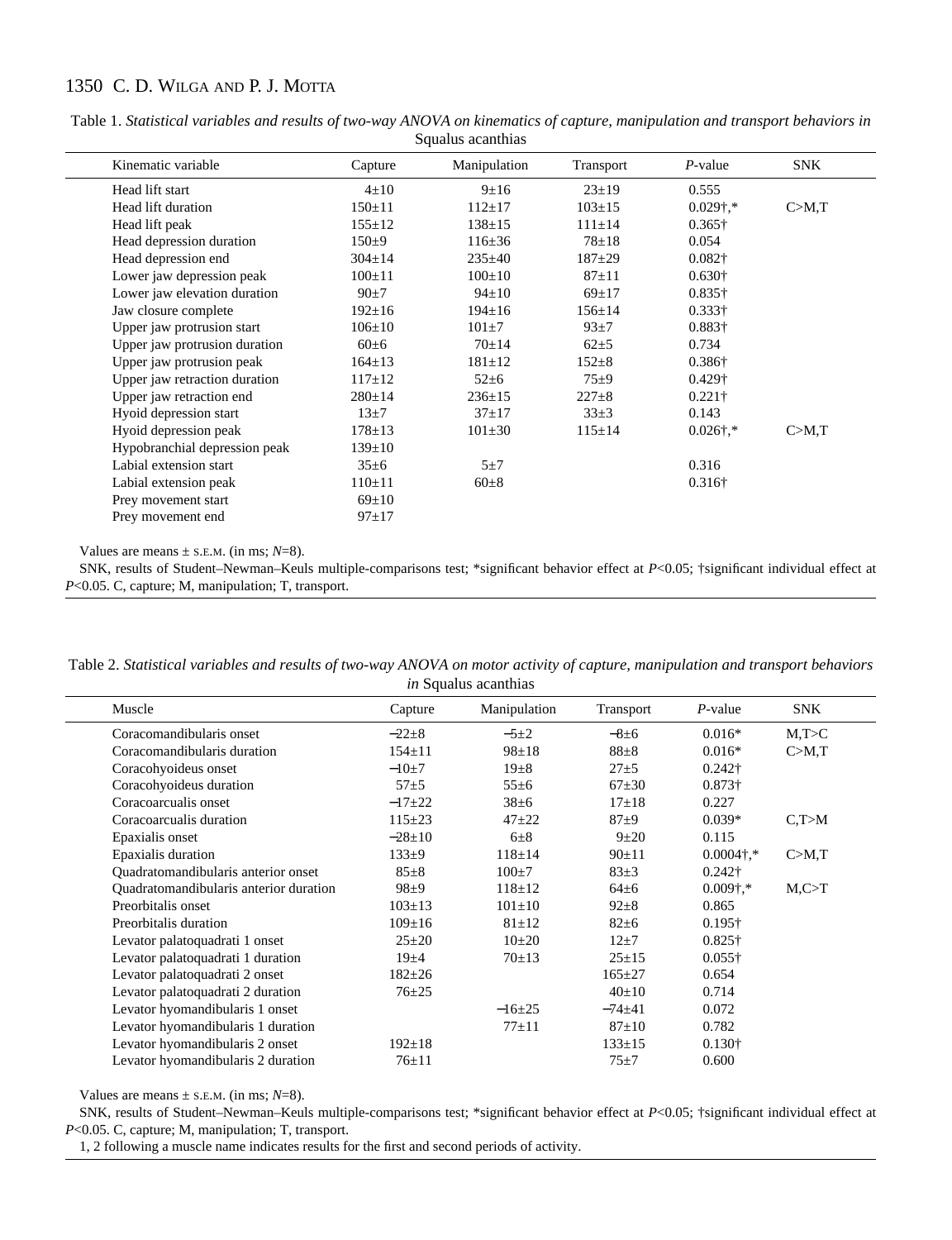| Kinematic variable            | Capture      | Manipulation | Transport    | $P$ -value        | <b>SNK</b> |
|-------------------------------|--------------|--------------|--------------|-------------------|------------|
| Head lift start               | $4\pm10$     | $9+16$       | $23 \pm 19$  | 0.555             |            |
| Head lift duration            | $150 \pm 11$ | $112+17$     | $103 \pm 15$ | $0.029$ †,*       | C>M,T      |
| Head lift peak                | $155 \pm 12$ | $138 \pm 15$ | $111 \pm 14$ | $0.365\dagger$    |            |
| Head depression duration      | $150+9$      | $116 \pm 36$ | $78 + 18$    | 0.054             |            |
| Head depression end           | $304 \pm 14$ | $235 \pm 40$ | $187+29$     | $0.082\dagger$    |            |
| Lower jaw depression peak     | $100 \pm 11$ | $100 \pm 10$ | $87 + 11$    | $0.630\dagger$    |            |
| Lower jaw elevation duration  | $90+7$       | $94 \pm 10$  | $69+17$      | $0.835\dagger$    |            |
| Jaw closure complete          | $192 \pm 16$ | $194 \pm 16$ | $156 \pm 14$ | $0.333\dagger$    |            |
| Upper jaw protrusion start    | $106 \pm 10$ | $101 + 7$    | $93\pm7$     | 0.883+            |            |
| Upper jaw protrusion duration | $60\pm 6$    | $70+14$      | $62\pm5$     | 0.734             |            |
| Upper jaw protrusion peak     | $164 \pm 13$ | $181 \pm 12$ | $152 \pm 8$  | $0.386\dagger$    |            |
| Upper jaw retraction duration | $117 \pm 12$ | $52 \pm 6$   | $75\pm9$     | $0.429\dagger$    |            |
| Upper jaw retraction end      | $280 \pm 14$ | $236 \pm 15$ | $227 \pm 8$  | $0.221\dagger$    |            |
| Hyoid depression start        | $13\pm7$     | $37+17$      | $33\pm3$     | 0.143             |            |
| Hyoid depression peak         | $178 \pm 13$ | $101 \pm 30$ | $115 \pm 14$ | $0.026\dagger$ ,* | C>M,T      |
| Hypobranchial depression peak | $139 \pm 10$ |              |              |                   |            |
| Labial extension start        | $35\pm 6$    | $5\pm7$      |              | 0.316             |            |
| Labial extension peak         | $110 \pm 11$ | $60\pm8$     |              | $0.316\dagger$    |            |
| Prey movement start           | $69 \pm 10$  |              |              |                   |            |
| Prey movement end             | $97 \pm 17$  |              |              |                   |            |

Table 1. *Statistical variables and results of two-way ANOVA on kinematics of capture, manipulation and transport behaviors in* Squalus acanthias

Values are means  $\pm$  s.E.M. (in ms;  $N=8$ ).

SNK, results of Student–Newman–Keuls multiple-comparisons test; \*significant behavior effect at *P*<0.05; †significant individual effect at *P*<0.05. C, capture; M, manipulation; T, transport.

| Table 2. Statistical variables and results of two-way ANOVA on motor activity of capture, manipulation and transport behaviors |
|--------------------------------------------------------------------------------------------------------------------------------|
| <i>in</i> Squalus acanthias                                                                                                    |

| $P$ -value<br>$0.016*$<br>$0.016*$<br>$0.242\dagger$<br>$0.873\dagger$ | SNK<br>M,T>C<br>C>M,T  |
|------------------------------------------------------------------------|------------------------|
|                                                                        |                        |
|                                                                        |                        |
|                                                                        |                        |
|                                                                        |                        |
|                                                                        |                        |
|                                                                        |                        |
| $0.039*$                                                               | C, T>M                 |
| 0.115                                                                  |                        |
| $0.0004$ †.*                                                           | C>M,T                  |
| $0.242\dagger$                                                         |                        |
| $0.009$ †,*                                                            | $M$ <sub>c</sub> $>$ T |
| 0.865                                                                  |                        |
| $0.195\dagger$                                                         |                        |
| $0.825\dagger$                                                         |                        |
| $0.055\dagger$                                                         |                        |
| 0.654                                                                  |                        |
| 0.714                                                                  |                        |
| 0.072                                                                  |                        |
| 0.782                                                                  |                        |
| $0.130\dagger$                                                         |                        |
| 0.600                                                                  |                        |
|                                                                        | 0.227                  |

Values are means  $\pm$  s.E.M. (in ms;  $N=8$ ).

SNK, results of Student–Newman–Keuls multiple-comparisons test; \*significant behavior effect at *P*<0.05; †significant individual effect at *P*<0.05. C, capture; M, manipulation; T, transport.

1, 2 following a muscle name indicates results for the first and second periods of activity.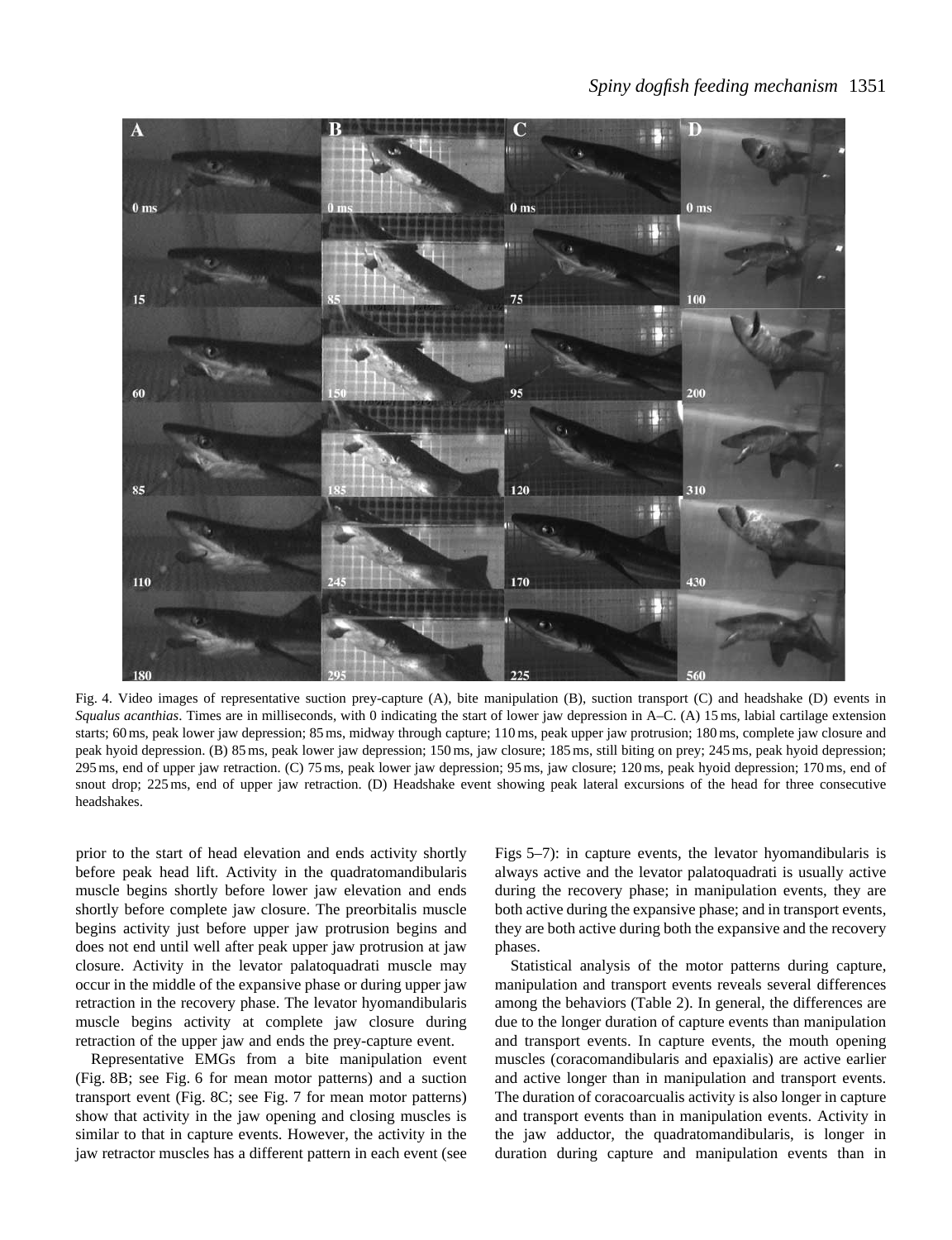

Fig. 4. Video images of representative suction prey-capture (A), bite manipulation (B), suction transport (C) and headshake (D) events in *Squalus acanthias*. Times are in milliseconds, with 0 indicating the start of lower jaw depression in A–C. (A) 15 ms, labial cartilage extension starts; 60 ms, peak lower jaw depression; 85 ms, midway through capture; 110 ms, peak upper jaw protrusion; 180 ms, complete jaw closure and peak hyoid depression. (B) 85 ms, peak lower jaw depression; 150 ms, jaw closure; 185 ms, still biting on prey; 245 ms, peak hyoid depression; 295 ms, end of upper jaw retraction. (C) 75 ms, peak lower jaw depression; 95 ms, jaw closure; 120 ms, peak hyoid depression; 170 ms, end of snout drop; 225 ms, end of upper jaw retraction. (D) Headshake event showing peak lateral excursions of the head for three consecutive headshakes.

prior to the start of head elevation and ends activity shortly before peak head lift. Activity in the quadratomandibularis muscle begins shortly before lower jaw elevation and ends shortly before complete jaw closure. The preorbitalis muscle begins activity just before upper jaw protrusion begins and does not end until well after peak upper jaw protrusion at jaw closure. Activity in the levator palatoquadrati muscle may occur in the middle of the expansive phase or during upper jaw retraction in the recovery phase. The levator hyomandibularis muscle begins activity at complete jaw closure during retraction of the upper jaw and ends the prey-capture event.

Representative EMGs from a bite manipulation event (Fig. 8B; see Fig. 6 for mean motor patterns) and a suction transport event (Fig. 8C; see Fig. 7 for mean motor patterns) show that activity in the jaw opening and closing muscles is similar to that in capture events. However, the activity in the jaw retractor muscles has a different pattern in each event (see Figs 5–7): in capture events, the levator hyomandibularis is always active and the levator palatoquadrati is usually active during the recovery phase; in manipulation events, they are both active during the expansive phase; and in transport events, they are both active during both the expansive and the recovery phases.

Statistical analysis of the motor patterns during capture, manipulation and transport events reveals several differences among the behaviors (Table 2). In general, the differences are due to the longer duration of capture events than manipulation and transport events. In capture events, the mouth opening muscles (coracomandibularis and epaxialis) are active earlier and active longer than in manipulation and transport events. The duration of coracoarcualis activity is also longer in capture and transport events than in manipulation events. Activity in the jaw adductor, the quadratomandibularis, is longer in duration during capture and manipulation events than in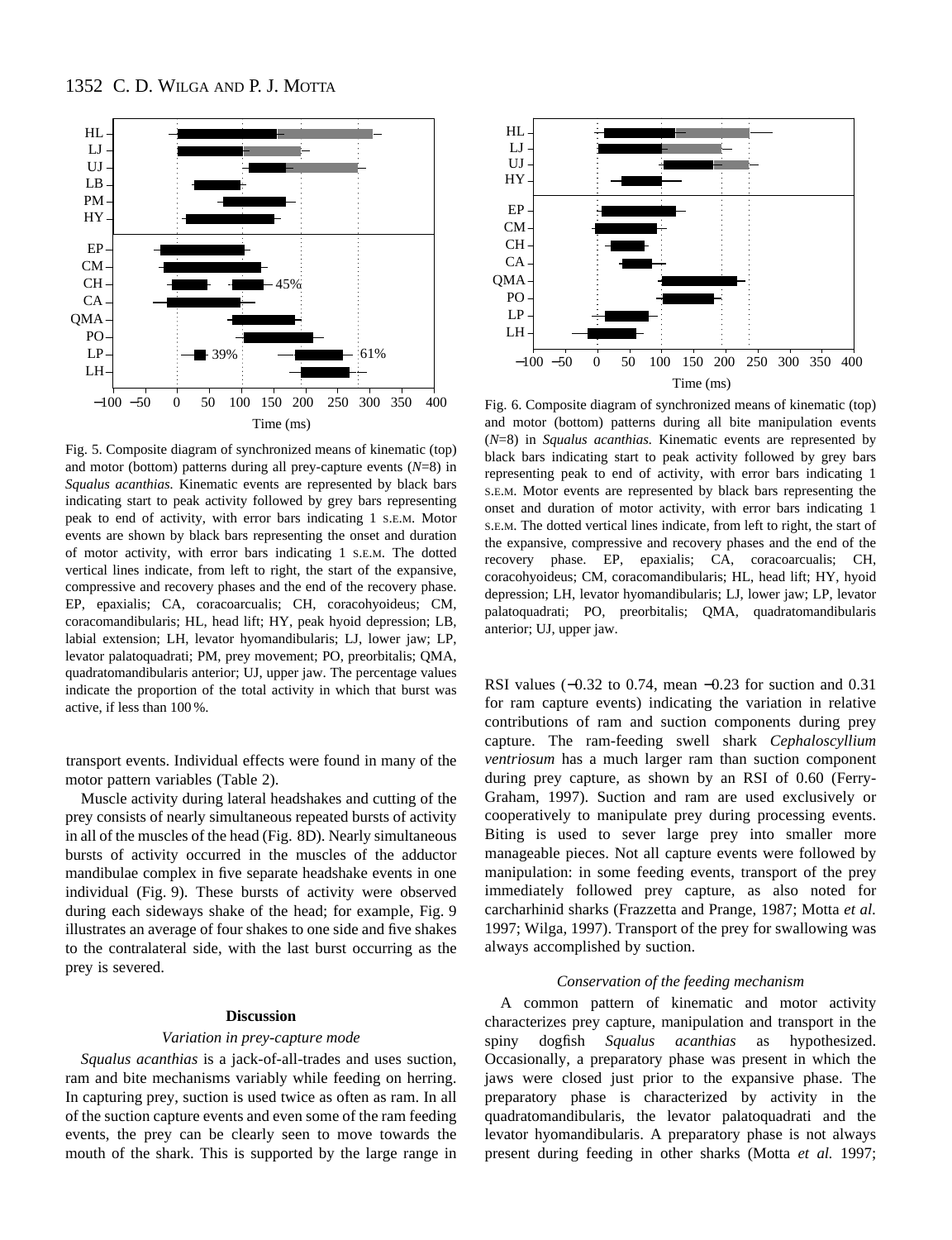

Fig. 5. Composite diagram of synchronized means of kinematic (top) and motor (bottom) patterns during all prey-capture events (*N*=8) in *Squalus acanthias.* Kinematic events are represented by black bars indicating start to peak activity followed by grey bars representing peak to end of activity, with error bars indicating 1 S.E.M. Motor events are shown by black bars representing the onset and duration of motor activity, with error bars indicating 1 S.E.M. The dotted vertical lines indicate, from left to right, the start of the expansive, compressive and recovery phases and the end of the recovery phase. EP, epaxialis; CA, coracoarcualis; CH, coracohyoideus; CM, coracomandibularis; HL, head lift; HY, peak hyoid depression; LB, labial extension; LH, levator hyomandibularis; LJ, lower jaw; LP, levator palatoquadrati; PM, prey movement; PO, preorbitalis; QMA, quadratomandibularis anterior; UJ, upper jaw. The percentage values indicate the proportion of the total activity in which that burst was active, if less than 100 %.

transport events. Individual effects were found in many of the motor pattern variables (Table 2).

Muscle activity during lateral headshakes and cutting of the prey consists of nearly simultaneous repeated bursts of activity in all of the muscles of the head (Fig. 8D). Nearly simultaneous bursts of activity occurred in the muscles of the adductor mandibulae complex in five separate headshake events in one individual (Fig. 9). These bursts of activity were observed during each sideways shake of the head; for example, Fig. 9 illustrates an average of four shakes to one side and five shakes to the contralateral side, with the last burst occurring as the prey is severed.

### **Discussion**

#### *Variation in prey-capture mode*

*Squalus acanthias* is a jack-of-all-trades and uses suction, ram and bite mechanisms variably while feeding on herring. In capturing prey, suction is used twice as often as ram. In all of the suction capture events and even some of the ram feeding events, the prey can be clearly seen to move towards the mouth of the shark. This is supported by the large range in



Fig. 6. Composite diagram of synchronized means of kinematic (top) and motor (bottom) patterns during all bite manipulation events (*N*=8) in *Squalus acanthias.* Kinematic events are represented by black bars indicating start to peak activity followed by grey bars representing peak to end of activity, with error bars indicating 1 S.E.M. Motor events are represented by black bars representing the onset and duration of motor activity, with error bars indicating 1 S.E.M. The dotted vertical lines indicate, from left to right, the start of the expansive, compressive and recovery phases and the end of the recovery phase. EP, epaxialis; CA, coracoarcualis; CH, coracohyoideus; CM, coracomandibularis; HL, head lift; HY, hyoid depression; LH, levator hyomandibularis; LJ, lower jaw; LP, levator palatoquadrati; PO, preorbitalis; QMA, quadratomandibularis anterior; UJ, upper jaw.

RSI values (−0.32 to 0.74, mean −0.23 for suction and 0.31 for ram capture events) indicating the variation in relative contributions of ram and suction components during prey capture. The ram-feeding swell shark *Cephaloscyllium ventriosum* has a much larger ram than suction component during prey capture, as shown by an RSI of 0.60 (Ferry-Graham, 1997). Suction and ram are used exclusively or cooperatively to manipulate prey during processing events. Biting is used to sever large prey into smaller more manageable pieces. Not all capture events were followed by manipulation: in some feeding events, transport of the prey immediately followed prey capture, as also noted for carcharhinid sharks (Frazzetta and Prange, 1987; Motta *et al.* 1997; Wilga, 1997). Transport of the prey for swallowing was always accomplished by suction.

#### *Conservation of the feeding mechanism*

A common pattern of kinematic and motor activity characterizes prey capture, manipulation and transport in the spiny dogfish *Squalus acanthias* as hypothesized. Occasionally, a preparatory phase was present in which the jaws were closed just prior to the expansive phase. The preparatory phase is characterized by activity in the quadratomandibularis, the levator palatoquadrati and the levator hyomandibularis. A preparatory phase is not always present during feeding in other sharks (Motta *et al.* 1997;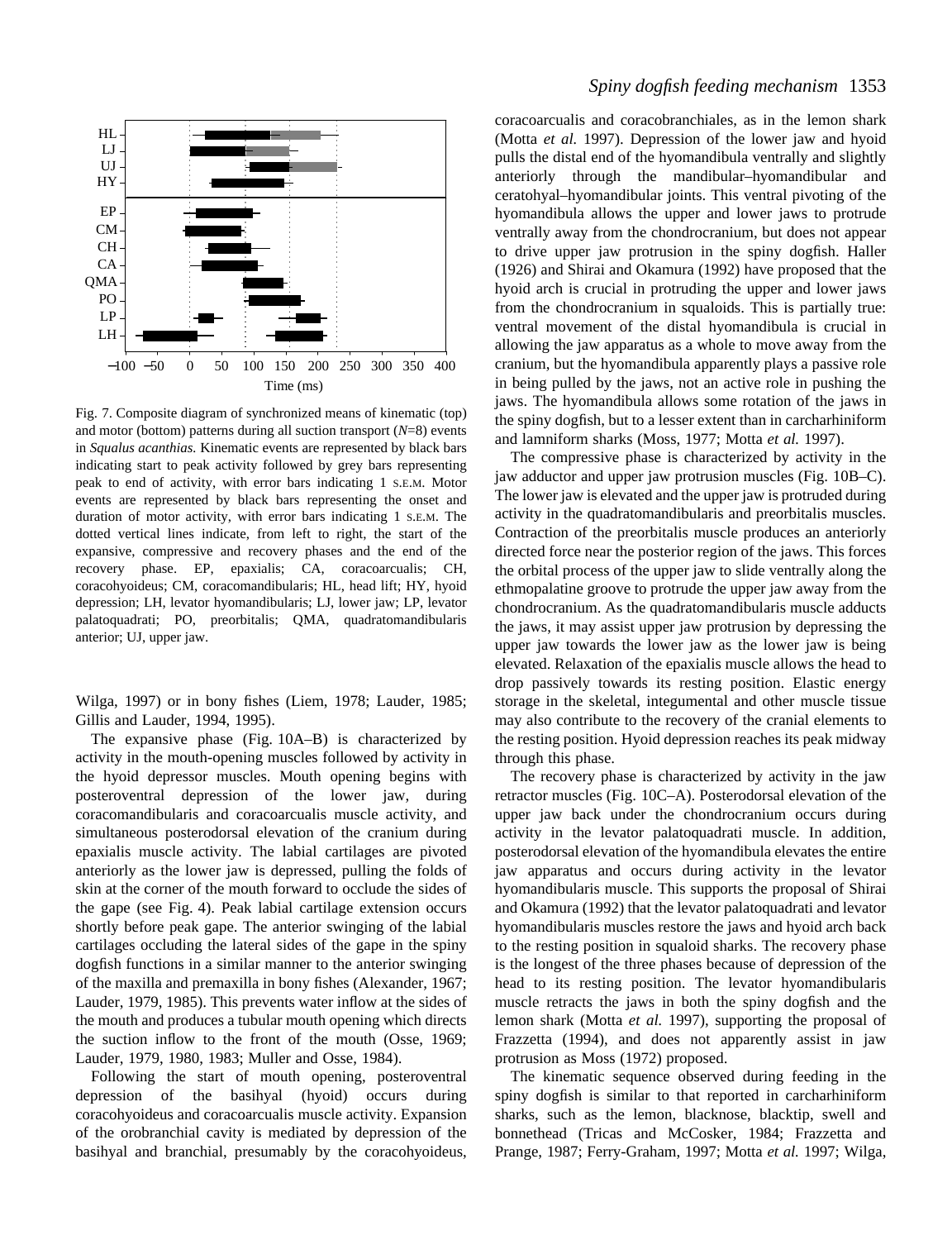

Fig. 7. Composite diagram of synchronized means of kinematic (top) and motor (bottom) patterns during all suction transport (*N*=8) events in *Squalus acanthias.* Kinematic events are represented by black bars indicating start to peak activity followed by grey bars representing peak to end of activity, with error bars indicating 1 S.E.M. Motor events are represented by black bars representing the onset and duration of motor activity, with error bars indicating 1 S.E.M. The dotted vertical lines indicate, from left to right, the start of the expansive, compressive and recovery phases and the end of the recovery phase. EP, epaxialis; CA, coracoarcualis; CH, coracohyoideus; CM, coracomandibularis; HL, head lift; HY, hyoid depression; LH, levator hyomandibularis; LJ, lower jaw; LP, levator palatoquadrati; PO, preorbitalis; QMA, quadratomandibularis anterior; UJ, upper jaw.

Wilga, 1997) or in bony fishes (Liem, 1978; Lauder, 1985; Gillis and Lauder, 1994, 1995).

The expansive phase (Fig. 10A–B) is characterized by activity in the mouth-opening muscles followed by activity in the hyoid depressor muscles. Mouth opening begins with posteroventral depression of the lower jaw, during coracomandibularis and coracoarcualis muscle activity, and simultaneous posterodorsal elevation of the cranium during epaxialis muscle activity. The labial cartilages are pivoted anteriorly as the lower jaw is depressed, pulling the folds of skin at the corner of the mouth forward to occlude the sides of the gape (see Fig. 4). Peak labial cartilage extension occurs shortly before peak gape. The anterior swinging of the labial cartilages occluding the lateral sides of the gape in the spiny dogfish functions in a similar manner to the anterior swinging of the maxilla and premaxilla in bony fishes (Alexander, 1967; Lauder, 1979, 1985). This prevents water inflow at the sides of the mouth and produces a tubular mouth opening which directs the suction inflow to the front of the mouth (Osse, 1969; Lauder, 1979, 1980, 1983; Muller and Osse, 1984).

Following the start of mouth opening, posteroventral depression of the basihyal (hyoid) occurs during coracohyoideus and coracoarcualis muscle activity. Expansion of the orobranchial cavity is mediated by depression of the basihyal and branchial, presumably by the coracohyoideus,

coracoarcualis and coracobranchiales, as in the lemon shark (Motta *et al.* 1997). Depression of the lower jaw and hyoid pulls the distal end of the hyomandibula ventrally and slightly anteriorly through the mandibular–hyomandibular and ceratohyal–hyomandibular joints. This ventral pivoting of the hyomandibula allows the upper and lower jaws to protrude ventrally away from the chondrocranium, but does not appear to drive upper jaw protrusion in the spiny dogfish. Haller (1926) and Shirai and Okamura (1992) have proposed that the hyoid arch is crucial in protruding the upper and lower jaws from the chondrocranium in squaloids. This is partially true: ventral movement of the distal hyomandibula is crucial in allowing the jaw apparatus as a whole to move away from the cranium, but the hyomandibula apparently plays a passive role in being pulled by the jaws, not an active role in pushing the jaws. The hyomandibula allows some rotation of the jaws in the spiny dogfish, but to a lesser extent than in carcharhiniform and lamniform sharks (Moss, 1977; Motta *et al.* 1997).

The compressive phase is characterized by activity in the jaw adductor and upper jaw protrusion muscles (Fig. 10B–C). The lower jaw is elevated and the upper jaw is protruded during activity in the quadratomandibularis and preorbitalis muscles. Contraction of the preorbitalis muscle produces an anteriorly directed force near the posterior region of the jaws. This forces the orbital process of the upper jaw to slide ventrally along the ethmopalatine groove to protrude the upper jaw away from the chondrocranium. As the quadratomandibularis muscle adducts the jaws, it may assist upper jaw protrusion by depressing the upper jaw towards the lower jaw as the lower jaw is being elevated. Relaxation of the epaxialis muscle allows the head to drop passively towards its resting position. Elastic energy storage in the skeletal, integumental and other muscle tissue may also contribute to the recovery of the cranial elements to the resting position. Hyoid depression reaches its peak midway through this phase.

The recovery phase is characterized by activity in the jaw retractor muscles (Fig. 10C–A). Posterodorsal elevation of the upper jaw back under the chondrocranium occurs during activity in the levator palatoquadrati muscle. In addition, posterodorsal elevation of the hyomandibula elevates the entire jaw apparatus and occurs during activity in the levator hyomandibularis muscle. This supports the proposal of Shirai and Okamura (1992) that the levator palatoquadrati and levator hyomandibularis muscles restore the jaws and hyoid arch back to the resting position in squaloid sharks. The recovery phase is the longest of the three phases because of depression of the head to its resting position. The levator hyomandibularis muscle retracts the jaws in both the spiny dogfish and the lemon shark (Motta *et al.* 1997), supporting the proposal of Frazzetta (1994), and does not apparently assist in jaw protrusion as Moss (1972) proposed.

The kinematic sequence observed during feeding in the spiny dogfish is similar to that reported in carcharhiniform sharks, such as the lemon, blacknose, blacktip, swell and bonnethead (Tricas and McCosker, 1984; Frazzetta and Prange, 1987; Ferry-Graham, 1997; Motta *et al.* 1997; Wilga,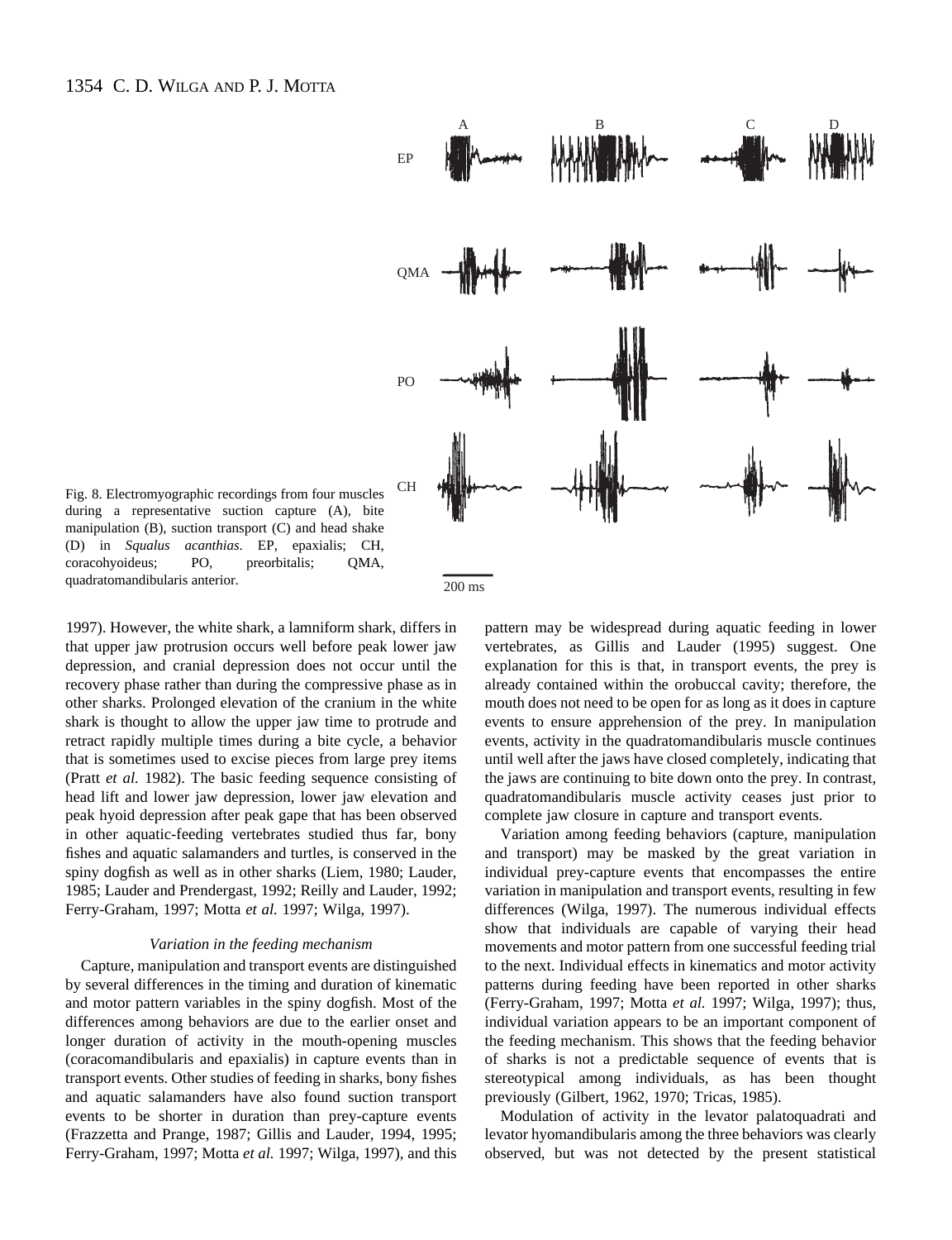

Fig. 8. Electromyographic recordings from four muscles during a representative suction capture (A), bite manipulation (B), suction transport (C) and head shake (D) in *Squalus acanthias*. EP, epaxialis; CH, coracohyoideus; PO, preorbitalis; QMA, quadratomandibularis anterior.

1997). However, the white shark, a lamniform shark, differs in that upper jaw protrusion occurs well before peak lower jaw depression, and cranial depression does not occur until the recovery phase rather than during the compressive phase as in other sharks. Prolonged elevation of the cranium in the white shark is thought to allow the upper jaw time to protrude and retract rapidly multiple times during a bite cycle, a behavior that is sometimes used to excise pieces from large prey items (Pratt *et al.* 1982). The basic feeding sequence consisting of head lift and lower jaw depression, lower jaw elevation and peak hyoid depression after peak gape that has been observed in other aquatic-feeding vertebrates studied thus far, bony fishes and aquatic salamanders and turtles, is conserved in the spiny dogfish as well as in other sharks (Liem, 1980; Lauder, 1985; Lauder and Prendergast, 1992; Reilly and Lauder, 1992; Ferry-Graham, 1997; Motta *et al.* 1997; Wilga, 1997).

#### *Variation in the feeding mechanism*

Capture, manipulation and transport events are distinguished by several differences in the timing and duration of kinematic and motor pattern variables in the spiny dogfish. Most of the differences among behaviors are due to the earlier onset and longer duration of activity in the mouth-opening muscles (coracomandibularis and epaxialis) in capture events than in transport events. Other studies of feeding in sharks, bony fishes and aquatic salamanders have also found suction transport events to be shorter in duration than prey-capture events (Frazzetta and Prange, 1987; Gillis and Lauder, 1994, 1995; Ferry-Graham, 1997; Motta *et al.* 1997; Wilga, 1997), and this pattern may be widespread during aquatic feeding in lower vertebrates, as Gillis and Lauder (1995) suggest. One explanation for this is that, in transport events, the prey is already contained within the orobuccal cavity; therefore, the mouth does not need to be open for as long as it does in capture events to ensure apprehension of the prey. In manipulation events, activity in the quadratomandibularis muscle continues until well after the jaws have closed completely, indicating that the jaws are continuing to bite down onto the prey. In contrast, quadratomandibularis muscle activity ceases just prior to complete jaw closure in capture and transport events.

Variation among feeding behaviors (capture, manipulation and transport) may be masked by the great variation in individual prey-capture events that encompasses the entire variation in manipulation and transport events, resulting in few differences (Wilga, 1997). The numerous individual effects show that individuals are capable of varying their head movements and motor pattern from one successful feeding trial to the next. Individual effects in kinematics and motor activity patterns during feeding have been reported in other sharks (Ferry-Graham, 1997; Motta *et al.* 1997; Wilga, 1997); thus, individual variation appears to be an important component of the feeding mechanism. This shows that the feeding behavior of sharks is not a predictable sequence of events that is stereotypical among individuals, as has been thought previously (Gilbert, 1962, 1970; Tricas, 1985).

Modulation of activity in the levator palatoquadrati and levator hyomandibularis among the three behaviors was clearly observed, but was not detected by the present statistical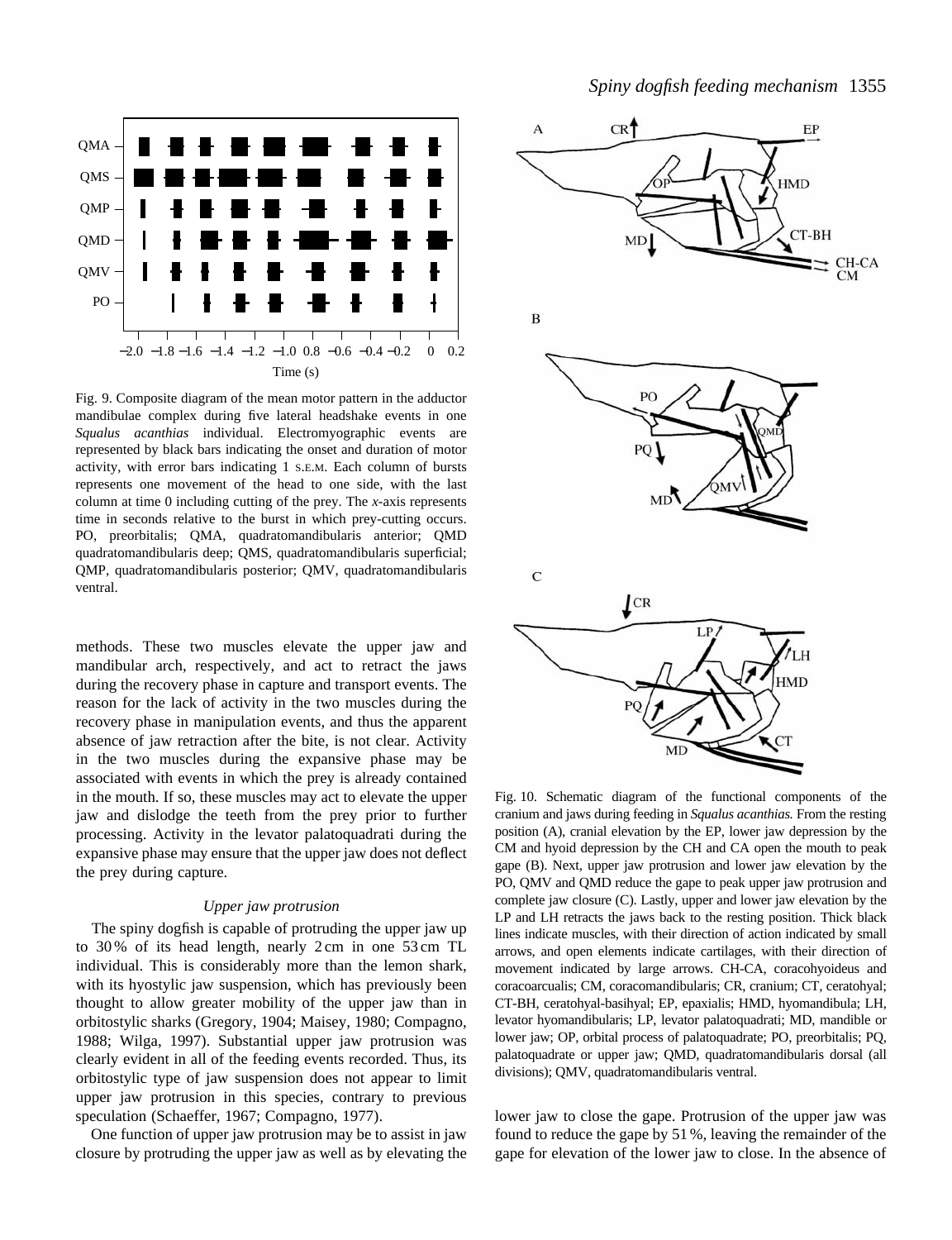

Fig. 9. Composite diagram of the mean motor pattern in the adductor mandibulae complex during five lateral headshake events in one *Squalus acanthias* individual. Electromyographic events are represented by black bars indicating the onset and duration of motor activity, with error bars indicating 1 S.E.M. Each column of bursts represents one movement of the head to one side, with the last column at time 0 including cutting of the prey. The *x*-axis represents time in seconds relative to the burst in which prey-cutting occurs. PO, preorbitalis; QMA, quadratomandibularis anterior; QMD quadratomandibularis deep; QMS, quadratomandibularis superficial; QMP, quadratomandibularis posterior; QMV, quadratomandibularis ventral.

methods. These two muscles elevate the upper jaw and mandibular arch, respectively, and act to retract the jaws during the recovery phase in capture and transport events. The reason for the lack of activity in the two muscles during the recovery phase in manipulation events, and thus the apparent absence of jaw retraction after the bite, is not clear. Activity in the two muscles during the expansive phase may be associated with events in which the prey is already contained in the mouth. If so, these muscles may act to elevate the upper jaw and dislodge the teeth from the prey prior to further processing. Activity in the levator palatoquadrati during the expansive phase may ensure that the upper jaw does not deflect the prey during capture.

# *Upper jaw protrusion*

The spiny dogfish is capable of protruding the upper jaw up to 30 % of its head length, nearly 2 cm in one 53 cm TL individual. This is considerably more than the lemon shark, with its hyostylic jaw suspension, which has previously been thought to allow greater mobility of the upper jaw than in orbitostylic sharks (Gregory, 1904; Maisey, 1980; Compagno, 1988; Wilga, 1997). Substantial upper jaw protrusion was clearly evident in all of the feeding events recorded. Thus, its orbitostylic type of jaw suspension does not appear to limit upper jaw protrusion in this species, contrary to previous speculation (Schaeffer, 1967; Compagno, 1977).

One function of upper jaw protrusion may be to assist in jaw closure by protruding the upper jaw as well as by elevating the



Fig. 10. Schematic diagram of the functional components of the cranium and jaws during feeding in *Squalus acanthias.* From the resting position (A), cranial elevation by the EP, lower jaw depression by the CM and hyoid depression by the CH and CA open the mouth to peak gape (B). Next, upper jaw protrusion and lower jaw elevation by the PO, QMV and QMD reduce the gape to peak upper jaw protrusion and complete jaw closure (C). Lastly, upper and lower jaw elevation by the LP and LH retracts the jaws back to the resting position. Thick black lines indicate muscles, with their direction of action indicated by small arrows, and open elements indicate cartilages, with their direction of movement indicated by large arrows. CH-CA, coracohyoideus and coracoarcualis; CM, coracomandibularis; CR, cranium; CT, ceratohyal; CT-BH, ceratohyal-basihyal; EP, epaxialis; HMD, hyomandibula; LH, levator hyomandibularis; LP, levator palatoquadrati; MD, mandible or lower jaw; OP, orbital process of palatoquadrate; PO, preorbitalis; PQ, palatoquadrate or upper jaw; QMD, quadratomandibularis dorsal (all divisions); QMV, quadratomandibularis ventral.

lower jaw to close the gape. Protrusion of the upper jaw was found to reduce the gape by 51 %, leaving the remainder of the gape for elevation of the lower jaw to close. In the absence of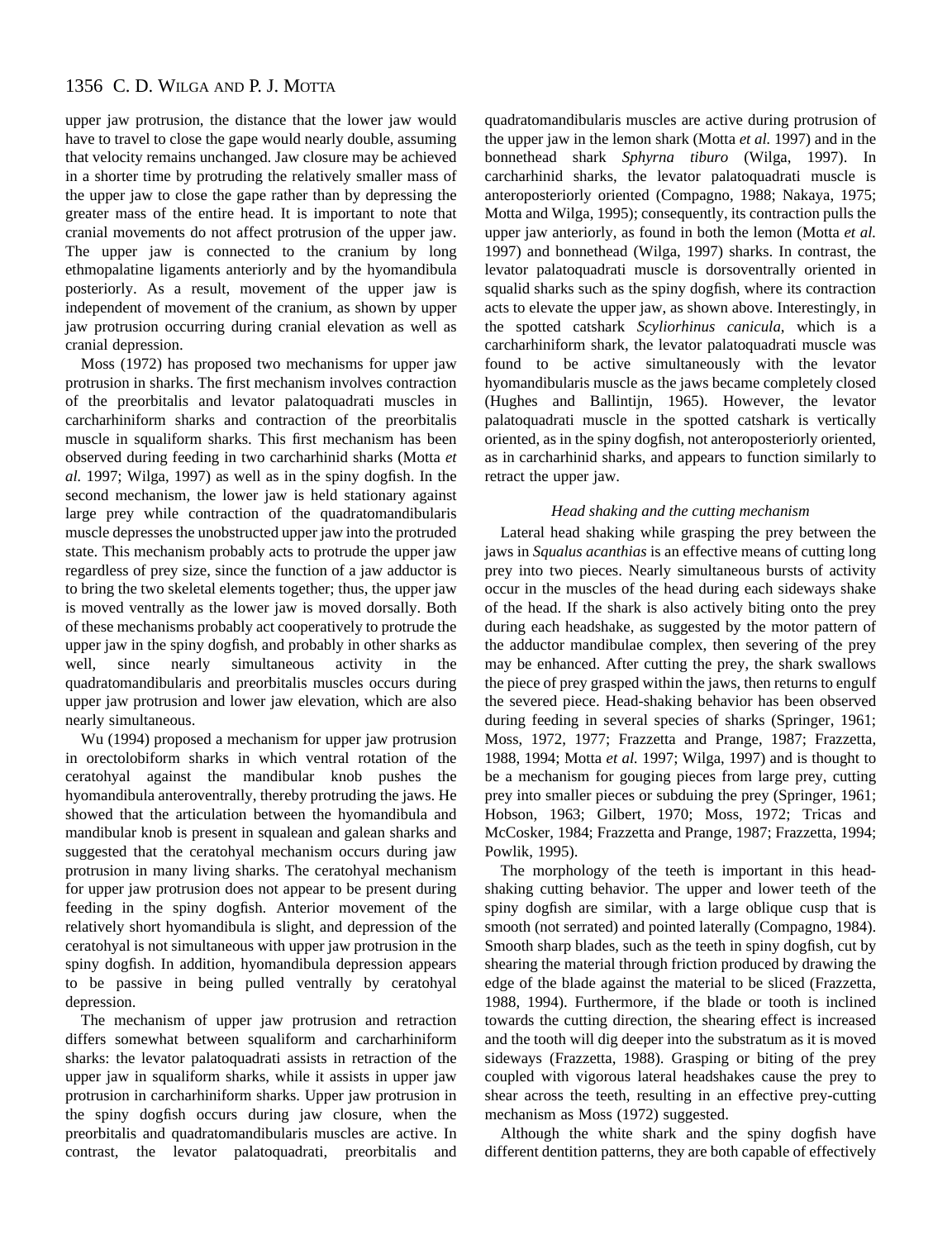upper jaw protrusion, the distance that the lower jaw would have to travel to close the gape would nearly double, assuming that velocity remains unchanged. Jaw closure may be achieved in a shorter time by protruding the relatively smaller mass of the upper jaw to close the gape rather than by depressing the greater mass of the entire head. It is important to note that cranial movements do not affect protrusion of the upper jaw. The upper jaw is connected to the cranium by long ethmopalatine ligaments anteriorly and by the hyomandibula posteriorly. As a result, movement of the upper jaw is independent of movement of the cranium, as shown by upper jaw protrusion occurring during cranial elevation as well as cranial depression.

Moss (1972) has proposed two mechanisms for upper jaw protrusion in sharks. The first mechanism involves contraction of the preorbitalis and levator palatoquadrati muscles in carcharhiniform sharks and contraction of the preorbitalis muscle in squaliform sharks. This first mechanism has been observed during feeding in two carcharhinid sharks (Motta *et al.* 1997; Wilga, 1997) as well as in the spiny dogfish. In the second mechanism, the lower jaw is held stationary against large prey while contraction of the quadratomandibularis muscle depresses the unobstructed upper jaw into the protruded state. This mechanism probably acts to protrude the upper jaw regardless of prey size, since the function of a jaw adductor is to bring the two skeletal elements together; thus, the upper jaw is moved ventrally as the lower jaw is moved dorsally. Both of these mechanisms probably act cooperatively to protrude the upper jaw in the spiny dogfish, and probably in other sharks as well, since nearly simultaneous activity in the quadratomandibularis and preorbitalis muscles occurs during upper jaw protrusion and lower jaw elevation, which are also nearly simultaneous.

Wu (1994) proposed a mechanism for upper jaw protrusion in orectolobiform sharks in which ventral rotation of the ceratohyal against the mandibular knob pushes the hyomandibula anteroventrally, thereby protruding the jaws. He showed that the articulation between the hyomandibula and mandibular knob is present in squalean and galean sharks and suggested that the ceratohyal mechanism occurs during jaw protrusion in many living sharks. The ceratohyal mechanism for upper jaw protrusion does not appear to be present during feeding in the spiny dogfish. Anterior movement of the relatively short hyomandibula is slight, and depression of the ceratohyal is not simultaneous with upper jaw protrusion in the spiny dogfish. In addition, hyomandibula depression appears to be passive in being pulled ventrally by ceratohyal depression.

The mechanism of upper jaw protrusion and retraction differs somewhat between squaliform and carcharhiniform sharks: the levator palatoquadrati assists in retraction of the upper jaw in squaliform sharks, while it assists in upper jaw protrusion in carcharhiniform sharks. Upper jaw protrusion in the spiny dogfish occurs during jaw closure, when the preorbitalis and quadratomandibularis muscles are active. In contrast, the levator palatoquadrati, preorbitalis and

quadratomandibularis muscles are active during protrusion of the upper jaw in the lemon shark (Motta *et al.* 1997) and in the bonnethead shark *Sphyrna tiburo* (Wilga, 1997). In carcharhinid sharks, the levator palatoquadrati muscle is anteroposteriorly oriented (Compagno, 1988; Nakaya, 1975; Motta and Wilga, 1995); consequently, its contraction pulls the upper jaw anteriorly, as found in both the lemon (Motta *et al.* 1997) and bonnethead (Wilga, 1997) sharks. In contrast, the levator palatoquadrati muscle is dorsoventrally oriented in squalid sharks such as the spiny dogfish, where its contraction acts to elevate the upper jaw, as shown above. Interestingly, in the spotted catshark *Scyliorhinus canicula*, which is a carcharhiniform shark, the levator palatoquadrati muscle was found to be active simultaneously with the levator hyomandibularis muscle as the jaws became completely closed (Hughes and Ballintijn, 1965). However, the levator palatoquadrati muscle in the spotted catshark is vertically oriented, as in the spiny dogfish, not anteroposteriorly oriented, as in carcharhinid sharks, and appears to function similarly to retract the upper jaw.

# *Head shaking and the cutting mechanism*

Lateral head shaking while grasping the prey between the jaws in *Squalus acanthias* is an effective means of cutting long prey into two pieces. Nearly simultaneous bursts of activity occur in the muscles of the head during each sideways shake of the head. If the shark is also actively biting onto the prey during each headshake, as suggested by the motor pattern of the adductor mandibulae complex, then severing of the prey may be enhanced. After cutting the prey, the shark swallows the piece of prey grasped within the jaws, then returns to engulf the severed piece. Head-shaking behavior has been observed during feeding in several species of sharks (Springer, 1961; Moss, 1972, 1977; Frazzetta and Prange, 1987; Frazzetta, 1988, 1994; Motta *et al.* 1997; Wilga, 1997) and is thought to be a mechanism for gouging pieces from large prey, cutting prey into smaller pieces or subduing the prey (Springer, 1961; Hobson, 1963; Gilbert, 1970; Moss, 1972; Tricas and McCosker, 1984; Frazzetta and Prange, 1987; Frazzetta, 1994; Powlik, 1995).

The morphology of the teeth is important in this headshaking cutting behavior. The upper and lower teeth of the spiny dogfish are similar, with a large oblique cusp that is smooth (not serrated) and pointed laterally (Compagno, 1984). Smooth sharp blades, such as the teeth in spiny dogfish, cut by shearing the material through friction produced by drawing the edge of the blade against the material to be sliced (Frazzetta, 1988, 1994). Furthermore, if the blade or tooth is inclined towards the cutting direction, the shearing effect is increased and the tooth will dig deeper into the substratum as it is moved sideways (Frazzetta, 1988). Grasping or biting of the prey coupled with vigorous lateral headshakes cause the prey to shear across the teeth, resulting in an effective prey-cutting mechanism as Moss (1972) suggested.

Although the white shark and the spiny dogfish have different dentition patterns, they are both capable of effectively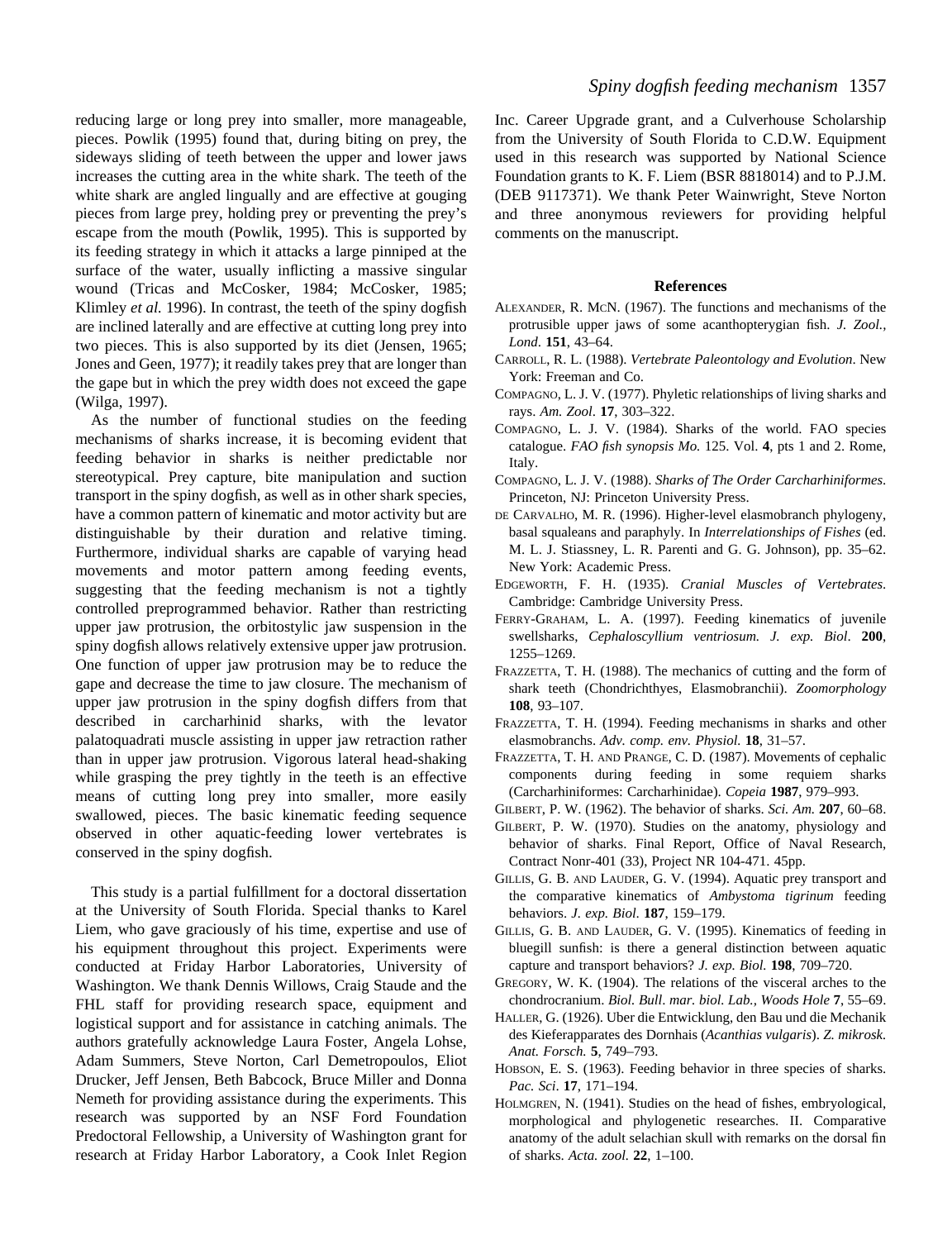reducing large or long prey into smaller, more manageable, pieces. Powlik (1995) found that, during biting on prey, the sideways sliding of teeth between the upper and lower jaws increases the cutting area in the white shark. The teeth of the white shark are angled lingually and are effective at gouging pieces from large prey, holding prey or preventing the prey's escape from the mouth (Powlik, 1995). This is supported by its feeding strategy in which it attacks a large pinniped at the surface of the water, usually inflicting a massive singular wound (Tricas and McCosker, 1984; McCosker, 1985; Klimley *et al.* 1996). In contrast, the teeth of the spiny dogfish are inclined laterally and are effective at cutting long prey into two pieces. This is also supported by its diet (Jensen, 1965; Jones and Geen, 1977); it readily takes prey that are longer than the gape but in which the prey width does not exceed the gape (Wilga, 1997).

As the number of functional studies on the feeding mechanisms of sharks increase, it is becoming evident that feeding behavior in sharks is neither predictable nor stereotypical. Prey capture, bite manipulation and suction transport in the spiny dogfish, as well as in other shark species, have a common pattern of kinematic and motor activity but are distinguishable by their duration and relative timing. Furthermore, individual sharks are capable of varying head movements and motor pattern among feeding events, suggesting that the feeding mechanism is not a tightly controlled preprogrammed behavior. Rather than restricting upper jaw protrusion, the orbitostylic jaw suspension in the spiny dogfish allows relatively extensive upper jaw protrusion. One function of upper jaw protrusion may be to reduce the gape and decrease the time to jaw closure. The mechanism of upper jaw protrusion in the spiny dogfish differs from that described in carcharhinid sharks, with the levator palatoquadrati muscle assisting in upper jaw retraction rather than in upper jaw protrusion. Vigorous lateral head-shaking while grasping the prey tightly in the teeth is an effective means of cutting long prey into smaller, more easily swallowed, pieces. The basic kinematic feeding sequence observed in other aquatic-feeding lower vertebrates is conserved in the spiny dogfish.

This study is a partial fulfillment for a doctoral dissertation at the University of South Florida. Special thanks to Karel Liem, who gave graciously of his time, expertise and use of his equipment throughout this project. Experiments were conducted at Friday Harbor Laboratories, University of Washington. We thank Dennis Willows, Craig Staude and the FHL staff for providing research space, equipment and logistical support and for assistance in catching animals. The authors gratefully acknowledge Laura Foster, Angela Lohse, Adam Summers, Steve Norton, Carl Demetropoulos, Eliot Drucker, Jeff Jensen, Beth Babcock, Bruce Miller and Donna Nemeth for providing assistance during the experiments. This research was supported by an NSF Ford Foundation Predoctoral Fellowship, a University of Washington grant for research at Friday Harbor Laboratory, a Cook Inlet Region

Inc. Career Upgrade grant, and a Culverhouse Scholarship from the University of South Florida to C.D.W. Equipment used in this research was supported by National Science Foundation grants to K. F. Liem (BSR 8818014) and to P.J.M. (DEB 9117371). We thank Peter Wainwright, Steve Norton and three anonymous reviewers for providing helpful comments on the manuscript.

### **References**

- ALEXANDER, R. MCN. (1967). The functions and mechanisms of the protrusible upper jaws of some acanthopterygian fish. *J. Zool., Lond*. **151**, 43–64.
- CARROLL, R. L. (1988). *Vertebrate Paleontology and Evolution*. New York: Freeman and Co.
- COMPAGNO, L. J. V. (1977). Phyletic relationships of living sharks and rays. *Am. Zool*. **17**, 303–322.
- COMPAGNO, L. J. V. (1984). Sharks of the world. FAO species catalogue. *FAO fish synopsis Mo.* 125. Vol. **4**, pts 1 and 2. Rome, Italy.
- COMPAGNO, L. J. V. (1988). *Sharks of The Order Carcharhiniformes*. Princeton, NJ: Princeton University Press.
- DE CARVALHO, M. R. (1996). Higher-level elasmobranch phylogeny, basal squaleans and paraphyly. In *Interrelationships of Fishes* (ed. M. L. J. Stiassney, L. R. Parenti and G. G. Johnson), pp. 35–62. New York: Academic Press.
- EDGEWORTH, F. H. (1935). *Cranial Muscles of Vertebrates*. Cambridge: Cambridge University Press.
- FERRY-GRAHAM, L. A. (1997). Feeding kinematics of juvenile swellsharks, *Cephaloscyllium ventriosum. J. exp. Biol*. **200**, 1255–1269.
- FRAZZETTA, T. H. (1988). The mechanics of cutting and the form of shark teeth (Chondrichthyes, Elasmobranchii). *Zoomorphology* **108**, 93–107.
- FRAZZETTA, T. H. (1994). Feeding mechanisms in sharks and other elasmobranchs. *Adv. comp. env. Physiol.* **18**, 31–57.
- FRAZZETTA, T. H. AND PRANGE, C. D. (1987). Movements of cephalic components during feeding in some requiem sharks (Carcharhiniformes: Carcharhinidae). *Copeia* **1987**, 979–993.
- GILBERT, P. W. (1962). The behavior of sharks. *Sci. Am.* **207**, 60–68.
- GILBERT, P. W. (1970). Studies on the anatomy, physiology and behavior of sharks. Final Report, Office of Naval Research, Contract Nonr-401 (33), Project NR 104-471. 45pp.
- GILLIS, G. B. AND LAUDER, G. V. (1994). Aquatic prey transport and the comparative kinematics of *Ambystoma tigrinum* feeding behaviors. *J. exp. Biol*. **187**, 159–179.
- GILLIS, G. B. AND LAUDER, G. V. (1995). Kinematics of feeding in bluegill sunfish: is there a general distinction between aquatic capture and transport behaviors? *J. exp. Biol.* **198**, 709–720.
- GREGORY, W. K. (1904). The relations of the visceral arches to the chondrocranium. *Biol. Bull*. *mar. biol. Lab., Woods Hole* **7**, 55–69.
- HALLER, G. (1926). Uber die Entwicklung, den Bau und die Mechanik des Kieferapparates des Dornhais (*Acanthias vulgaris*). *Z. mikrosk. Anat. Forsch.* **5**, 749–793.
- HOBSON, E. S. (1963). Feeding behavior in three species of sharks. *Pac. Sci*. **17**, 171–194.
- HOLMGREN, N. (1941). Studies on the head of fishes, embryological, morphological and phylogenetic researches. II. Comparative anatomy of the adult selachian skull with remarks on the dorsal fin of sharks. *Acta. zool.* **22**, 1–100.